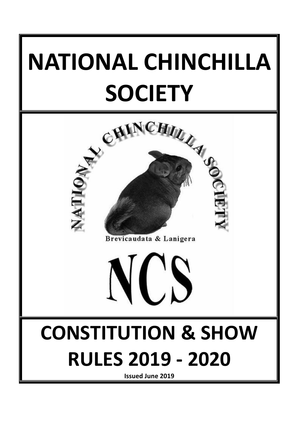# **NATIONAL CHINCHILLA**



Brevicaudata & Lanigera

 $\begin{pmatrix} 1 \\ -1 \end{pmatrix}$ 



**Issued June 2019**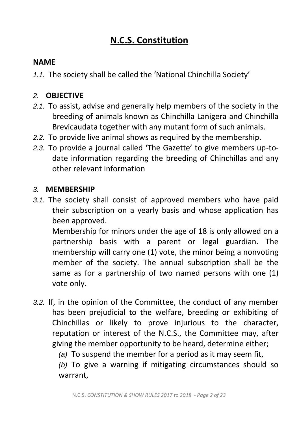# **N.C.S. Constitution**

#### **NAME**

*1.1.* The society shall be called the 'National Chinchilla Society'

#### *2.* **OBJECTIVE**

- *2.1.* To assist, advise and generally help members of the society in the breeding of animals known as Chinchilla Lanigera and Chinchilla Brevicaudata together with any mutant form of such animals.
- *2.2.* To provide live animal shows as required by the membership.
- *2.3.* To provide a journal called 'The Gazette' to give members up-todate information regarding the breeding of Chinchillas and any other relevant information

#### *3.* **MEMBERSHIP**

*3.1.* The society shall consist of approved members who have paid their subscription on a yearly basis and whose application has been approved.

Membership for minors under the age of 18 is only allowed on a partnership basis with a parent or legal guardian. The membership will carry one (1) vote, the minor being a nonvoting member of the society. The annual subscription shall be the same as for a partnership of two named persons with one (1) vote only.

*3.2.* If, in the opinion of the Committee, the conduct of any member has been prejudicial to the welfare, breeding or exhibiting of Chinchillas or likely to prove injurious to the character, reputation or interest of the N.C.S., the Committee may, after giving the member opportunity to be heard, determine either;

*(a)* To suspend the member for a period as it may seem fit,

*(b)* To give a warning if mitigating circumstances should so warrant,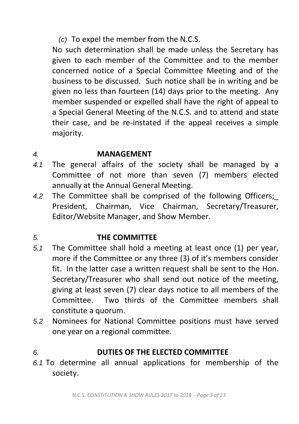*(c)* To expel the member from the N.C.S.

No such determination shall be made unless the Secretary has given to each member of the Committee and to the member concerned notice of a Special Committee Meeting and of the business to be discussed. Such notice shall be in writing and be given no less than fourteen (14) days prior to the meeting. Any member suspended or expelled shall have the right of appeal to a Special General Meeting of the N.C.S. and to attend and state their case, and be re-instated if the appeal receives a simple majority.

#### *4.* **MANAGEMENT**

- *4.1* The general affairs of the society shall be managed by a Committee of not more than seven (7) members elected annually at the Annual General Meeting.
- 4.2 The Committee shall be comprised of the following Officers; President, Chairman, Vice Chairman, Secretary/Treasurer, Editor/Website Manager, and Show Member.

## *5.* **THE COMMITTEE**

- *5.1* The Committee shall hold a meeting at least once (1) per year, more if the Committee or any three (3) of it's members consider fit. In the latter case a written request shall be sent to the Hon. Secretary/Treasurer who shall send out notice of the meeting, giving at least seven (7) clear days notice to all members of the Committee. Two thirds of the Committee members shall constitute a quorum.
- *5.2* Nominees for National Committee positions must have served one year on a regional committee.

## *6.* **DUTIES OF THE ELECTED COMMITTEE**

*6.1* To determine all annual applications for membership of the society.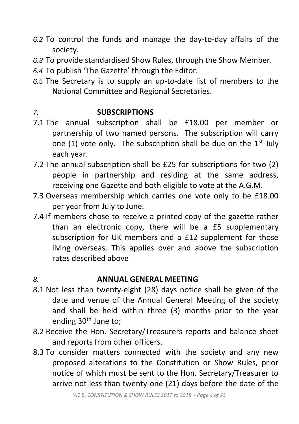- *6.2* To control the funds and manage the day-to-day affairs of the society.
- *6.3* To provide standardised Show Rules, through the Show Member.
- *6.4* To publish 'The Gazette' through the Editor.
- *6.5* The Secretary is to supply an up-to-date list of members to the National Committee and Regional Secretaries.

## *7.* **SUBSCRIPTIONS**

- 7.1 The annual subscription shall be £18.00 per member or partnership of two named persons. The subscription will carry one (1) vote only. The subscription shall be due on the  $1<sup>st</sup>$  July each year.
- 7.2 The annual subscription shall be £25 for subscriptions for two (2) people in partnership and residing at the same address, receiving one Gazette and both eligible to vote at the A.G.M.
- 7.3 Overseas membership which carries one vote only to be £18.00 per year from July to June.
- 7.4 If members chose to receive a printed copy of the gazette rather than an electronic copy, there will be a £5 supplementary subscription for UK members and a £12 supplement for those living overseas. This applies over and above the subscription rates described above

## *8.* **ANNUAL GENERAL MEETING**

- 8.1 Not less than twenty-eight (28) days notice shall be given of the date and venue of the Annual General Meeting of the society and shall be held within three (3) months prior to the year ending 30th June to;
- 8.2 Receive the Hon. Secretary/Treasurers reports and balance sheet and reports from other officers.
- 8.3 To consider matters connected with the society and any new proposed alterations to the Constitution or Show Rules, prior notice of which must be sent to the Hon. Secretary/Treasurer to arrive not less than twenty-one (21) days before the date of the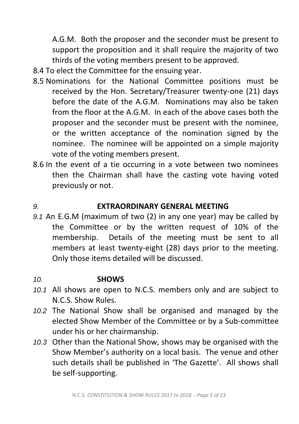A.G.M. Both the proposer and the seconder must be present to support the proposition and it shall require the majority of two thirds of the voting members present to be approved.

- 8.4 To elect the Committee for the ensuing year.
- 8.5 Nominations for the National Committee positions must be received by the Hon. Secretary/Treasurer twenty-one (21) days before the date of the A.G.M. Nominations may also be taken from the floor at the A.G.M. In each of the above cases both the proposer and the seconder must be present with the nominee, or the written acceptance of the nomination signed by the nominee. The nominee will be appointed on a simple majority vote of the voting members present.
- 8.6 In the event of a tie occurring in a vote between two nominees then the Chairman shall have the casting vote having voted previously or not.

#### *9.* **EXTRAORDINARY GENERAL MEETING**

*9.1* An E.G.M (maximum of two (2) in any one year) may be called by the Committee or by the written request of 10% of the membership. Details of the meeting must be sent to all members at least twenty-eight (28) days prior to the meeting. Only those items detailed will be discussed.

#### *10.* **SHOWS**

- *10.1* All shows are open to N.C.S. members only and are subject to N.C.S. Show Rules.
- *10.2* The National Show shall be organised and managed by the elected Show Member of the Committee or by a Sub-committee under his or her chairmanship.
- *10.3* Other than the National Show, shows may be organised with the Show Member's authority on a local basis. The venue and other such details shall be published in 'The Gazette'. All shows shall be self-supporting.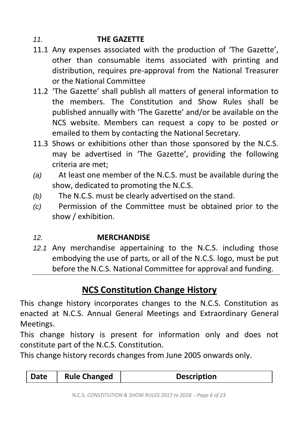## *11.* **THE GAZETTE**

- 11.1 Any expenses associated with the production of 'The Gazette', other than consumable items associated with printing and distribution, requires pre-approval from the National Treasurer or the National Committee
- 11.2 'The Gazette' shall publish all matters of general information to the members. The Constitution and Show Rules shall be published annually with 'The Gazette' and/or be available on the NCS website. Members can request a copy to be posted or emailed to them by contacting the National Secretary.
- 11.3 Shows or exhibitions other than those sponsored by the N.C.S. may be advertised in 'The Gazette', providing the following criteria are met;
- *(a)* At least one member of the N.C.S. must be available during the show, dedicated to promoting the N.C.S.
- *(b)* The N.C.S. must be clearly advertised on the stand.
- *(c)* Permission of the Committee must be obtained prior to the show / exhibition.

## *12.* **MERCHANDISE**

*12.1* Any merchandise appertaining to the N.C.S. including those embodying the use of parts, or all of the N.C.S. logo, must be put before the N.C.S. National Committee for approval and funding.

# **NCS Constitution Change History**

This change history incorporates changes to the N.C.S. Constitution as enacted at N.C.S. Annual General Meetings and Extraordinary General Meetings.

This change history is present for information only and does not constitute part of the N.C.S. Constitution.

This change history records changes from June 2005 onwards only.

| Date<br><b>Rule Changed</b><br><b>Description</b> |
|---------------------------------------------------|
|---------------------------------------------------|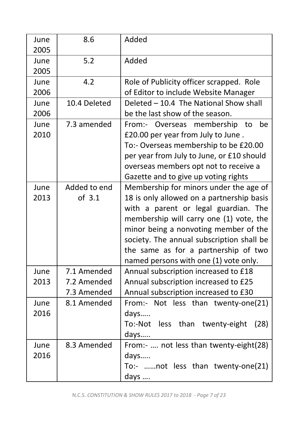| June<br>2005 | 8.6                                       | Added                                                                                                                                                                                                                                                                                                                                         |
|--------------|-------------------------------------------|-----------------------------------------------------------------------------------------------------------------------------------------------------------------------------------------------------------------------------------------------------------------------------------------------------------------------------------------------|
| June<br>2005 | 5.2                                       | Added                                                                                                                                                                                                                                                                                                                                         |
| June<br>2006 | 4.2                                       | Role of Publicity officer scrapped. Role<br>of Editor to include Website Manager                                                                                                                                                                                                                                                              |
| June<br>2006 | 10.4 Deleted                              | Deleted - 10.4 The National Show shall<br>be the last show of the season.                                                                                                                                                                                                                                                                     |
| June<br>2010 | 7.3 amended                               | From:- Overseas membership to<br>be<br>£20.00 per year from July to June.<br>To:- Overseas membership to be £20.00<br>per year from July to June, or £10 should<br>overseas members opt not to receive a<br>Gazette and to give up voting rights                                                                                              |
| June<br>2013 | Added to end<br>of 3.1                    | Membership for minors under the age of<br>18 is only allowed on a partnership basis<br>with a parent or legal guardian. The<br>membership will carry one (1) vote, the<br>minor being a nonvoting member of the<br>society. The annual subscription shall be<br>the same as for a partnership of two<br>named persons with one (1) vote only. |
| June<br>2013 | 7.1 Amended<br>7.2 Amended<br>7.3 Amended | Annual subscription increased to £18<br>Annual subscription increased to £25<br>Annual subscription increased to £30                                                                                                                                                                                                                          |
| June<br>2016 | 8.1 Amended                               | From:- Not less than twenty-one(21)<br>days<br>than<br>To:-Not<br>less<br>twenty-eight<br>(28)<br>days                                                                                                                                                                                                                                        |
| June<br>2016 | 8.3 Amended                               | From:-  not less than twenty-eight(28)<br>days<br>To:- not less than twenty-one(21)<br>days                                                                                                                                                                                                                                                   |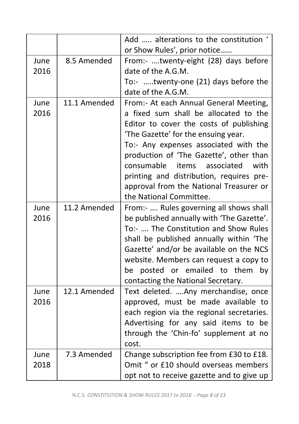|              |              | Add  alterations to the constitution '<br>or Show Rules', prior notice                                                                                                                                                                                                                                                                                                                                               |
|--------------|--------------|----------------------------------------------------------------------------------------------------------------------------------------------------------------------------------------------------------------------------------------------------------------------------------------------------------------------------------------------------------------------------------------------------------------------|
| June<br>2016 | 8.5 Amended  | From:- twenty-eight (28) days before<br>date of the A.G.M.                                                                                                                                                                                                                                                                                                                                                           |
|              |              | To:- twenty-one (21) days before the<br>date of the A.G.M.                                                                                                                                                                                                                                                                                                                                                           |
| June<br>2016 | 11.1 Amended | From:- At each Annual General Meeting,<br>a fixed sum shall be allocated to the<br>Editor to cover the costs of publishing<br>'The Gazette' for the ensuing year.<br>To:- Any expenses associated with the<br>production of 'The Gazette', other than<br>consumable<br>with<br>items<br>associated<br>printing and distribution, requires pre-<br>approval from the National Treasurer or<br>the National Committee. |
| June<br>2016 | 11.2 Amended | From:-  Rules governing all shows shall<br>be published annually with 'The Gazette'.<br>To:-  The Constitution and Show Rules<br>shall be published annually within 'The<br>Gazette' and/or be available on the NCS<br>website. Members can request a copy to<br>be posted or emailed to them<br>by<br>contacting the National Secretary.                                                                            |
| June<br>2016 | 12.1 Amended | Text deleted.  Any merchandise, once<br>approved, must be made available to<br>each region via the regional secretaries.<br>Advertising for any said items to be<br>through the 'Chin-fo' supplement at no<br>cost.                                                                                                                                                                                                  |
| June<br>2018 | 7.3 Amended  | Change subscription fee from £30 to £18.<br>Omit " or £10 should overseas members<br>opt not to receive gazette and to give up                                                                                                                                                                                                                                                                                       |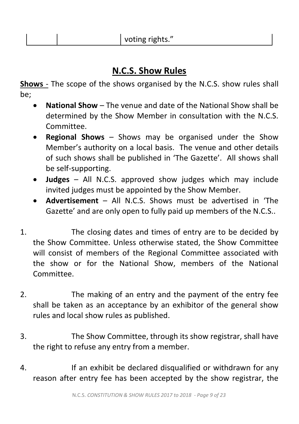## **N.C.S. Show Rules**

**Shows** - The scope of the shows organised by the N.C.S. show rules shall be;

- **National Show** The venue and date of the National Show shall be determined by the Show Member in consultation with the N.C.S. Committee.
- **Regional Shows**  Shows may be organised under the Show Member's authority on a local basis. The venue and other details of such shows shall be published in 'The Gazette'. All shows shall be self-supporting.
- **Judges**  All N.C.S. approved show judges which may include invited judges must be appointed by the Show Member.
- **Advertisement**  All N.C.S. Shows must be advertised in 'The Gazette' and are only open to fully paid up members of the N.C.S..
- 1. The closing dates and times of entry are to be decided by the Show Committee. Unless otherwise stated, the Show Committee will consist of members of the Regional Committee associated with the show or for the National Show, members of the National Committee.
- 2. The making of an entry and the payment of the entry fee shall be taken as an acceptance by an exhibitor of the general show rules and local show rules as published.
- 3. The Show Committee, through its show registrar, shall have the right to refuse any entry from a member.
- 4. If an exhibit be declared disqualified or withdrawn for any reason after entry fee has been accepted by the show registrar, the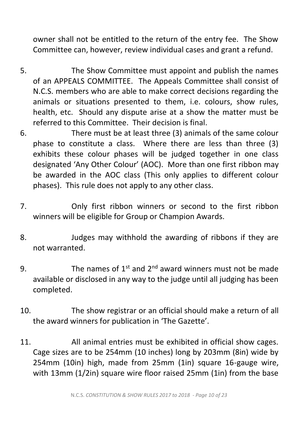owner shall not be entitled to the return of the entry fee. The Show Committee can, however, review individual cases and grant a refund.

- 5. The Show Committee must appoint and publish the names of an APPEALS COMMITTEE. The Appeals Committee shall consist of N.C.S. members who are able to make correct decisions regarding the animals or situations presented to them, i.e. colours, show rules, health, etc. Should any dispute arise at a show the matter must be referred to this Committee. Their decision is final.
- 6. There must be at least three (3) animals of the same colour phase to constitute a class. Where there are less than three (3) exhibits these colour phases will be judged together in one class designated 'Any Other Colour' (AOC). More than one first ribbon may be awarded in the AOC class (This only applies to different colour phases). This rule does not apply to any other class.
- 7. Only first ribbon winners or second to the first ribbon winners will be eligible for Group or Champion Awards.
- 8. Judges may withhold the awarding of ribbons if they are not warranted.
- 9. The names of  $1^{st}$  and  $2^{nd}$  award winners must not be made available or disclosed in any way to the judge until all judging has been completed.
- 10. The show registrar or an official should make a return of all the award winners for publication in 'The Gazette'.
- 11. All animal entries must be exhibited in official show cages. Cage sizes are to be 254mm (10 inches) long by 203mm (8in) wide by 254mm (10in) high, made from 25mm (1in) square 16-gauge wire, with 13mm (1/2in) square wire floor raised 25mm (1in) from the base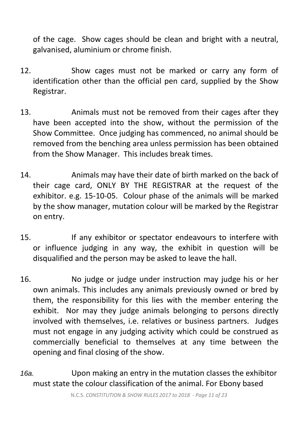of the cage. Show cages should be clean and bright with a neutral, galvanised, aluminium or chrome finish.

- 12. Show cages must not be marked or carry any form of identification other than the official pen card, supplied by the Show Registrar.
- 13. Animals must not be removed from their cages after they have been accepted into the show, without the permission of the Show Committee. Once judging has commenced, no animal should be removed from the benching area unless permission has been obtained from the Show Manager. This includes break times.
- 14. Animals may have their date of birth marked on the back of their cage card, ONLY BY THE REGISTRAR at the request of the exhibitor. e.g. 15-10-05. Colour phase of the animals will be marked by the show manager, mutation colour will be marked by the Registrar on entry.
- 15. If any exhibitor or spectator endeavours to interfere with or influence judging in any way, the exhibit in question will be disqualified and the person may be asked to leave the hall.
- 16. No judge or judge under instruction may judge his or her own animals. This includes any animals previously owned or bred by them, the responsibility for this lies with the member entering the exhibit. Nor may they judge animals belonging to persons directly involved with themselves, i.e. relatives or business partners. Judges must not engage in any judging activity which could be construed as commercially beneficial to themselves at any time between the opening and final closing of the show.
- *16a.* Upon making an entry in the mutation classes the exhibitor must state the colour classification of the animal. For Ebony based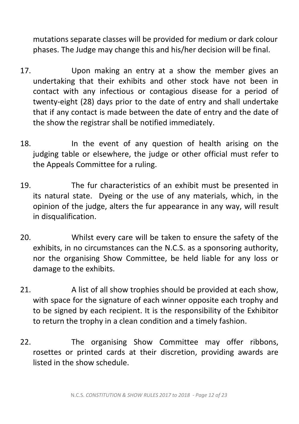mutations separate classes will be provided for medium or dark colour phases. The Judge may change this and his/her decision will be final.

- 17. Upon making an entry at a show the member gives an undertaking that their exhibits and other stock have not been in contact with any infectious or contagious disease for a period of twenty-eight (28) days prior to the date of entry and shall undertake that if any contact is made between the date of entry and the date of the show the registrar shall be notified immediately.
- 18. In the event of any question of health arising on the judging table or elsewhere, the judge or other official must refer to the Appeals Committee for a ruling.
- 19. The fur characteristics of an exhibit must be presented in its natural state. Dyeing or the use of any materials, which, in the opinion of the judge, alters the fur appearance in any way, will result in disqualification.
- 20. Whilst every care will be taken to ensure the safety of the exhibits, in no circumstances can the N.C.S. as a sponsoring authority, nor the organising Show Committee, be held liable for any loss or damage to the exhibits.
- 21. A list of all show trophies should be provided at each show, with space for the signature of each winner opposite each trophy and to be signed by each recipient. It is the responsibility of the Exhibitor to return the trophy in a clean condition and a timely fashion.
- 22. The organising Show Committee may offer ribbons, rosettes or printed cards at their discretion, providing awards are listed in the show schedule.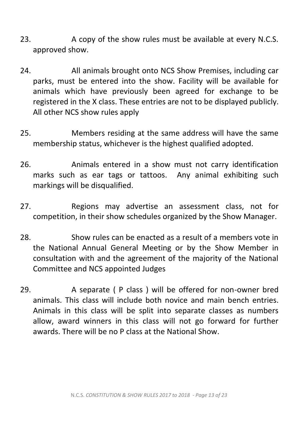- 23. A copy of the show rules must be available at every N.C.S. approved show.
- 24. All animals brought onto NCS Show Premises, including car parks, must be entered into the show. Facility will be available for animals which have previously been agreed for exchange to be registered in the X class. These entries are not to be displayed publicly. All other NCS show rules apply
- 25. Members residing at the same address will have the same membership status, whichever is the highest qualified adopted.
- 26. Animals entered in a show must not carry identification marks such as ear tags or tattoos. Any animal exhibiting such markings will be disqualified.
- 27. Regions may advertise an assessment class, not for competition, in their show schedules organized by the Show Manager.
- 28. Show rules can be enacted as a result of a members vote in the National Annual General Meeting or by the Show Member in consultation with and the agreement of the majority of the National Committee and NCS appointed Judges
- 29. A separate (P class) will be offered for non-owner bred animals. This class will include both novice and main bench entries. Animals in this class will be split into separate classes as numbers allow, award winners in this class will not go forward for further awards. There will be no P class at the National Show.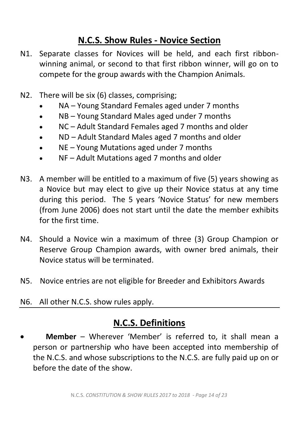## **N.C.S. Show Rules - Novice Section**

- N1. Separate classes for Novices will be held, and each first ribbonwinning animal, or second to that first ribbon winner, will go on to compete for the group awards with the Champion Animals.
- N2. There will be six (6) classes, comprising;
	- NA Young Standard Females aged under 7 months
	- NB Young Standard Males aged under 7 months
	- NC Adult Standard Females aged 7 months and older
	- ND Adult Standard Males aged 7 months and older
	- NE Young Mutations aged under 7 months
	- NF Adult Mutations aged 7 months and older
- N3. A member will be entitled to a maximum of five (5) years showing as a Novice but may elect to give up their Novice status at any time during this period. The 5 years 'Novice Status' for new members (from June 2006) does not start until the date the member exhibits for the first time.
- N4. Should a Novice win a maximum of three (3) Group Champion or Reserve Group Champion awards, with owner bred animals, their Novice status will be terminated.
- N5. Novice entries are not eligible for Breeder and Exhibitors Awards
- N6. All other N.C.S. show rules apply.

## **N.C.S. Definitions**

• **Member** – Wherever 'Member' is referred to, it shall mean a person or partnership who have been accepted into membership of the N.C.S. and whose subscriptions to the N.C.S. are fully paid up on or before the date of the show.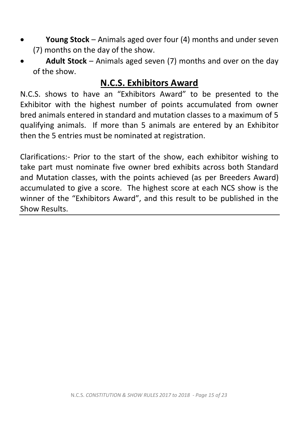- **Young Stock**  Animals aged over four (4) months and under seven (7) months on the day of the show.
- **Adult Stock**  Animals aged seven (7) months and over on the day of the show.

# **N.C.S. Exhibitors Award**

N.C.S. shows to have an "Exhibitors Award" to be presented to the Exhibitor with the highest number of points accumulated from owner bred animals entered in standard and mutation classes to a maximum of 5 qualifying animals. If more than 5 animals are entered by an Exhibitor then the 5 entries must be nominated at registration.

Clarifications:- Prior to the start of the show, each exhibitor wishing to take part must nominate five owner bred exhibits across both Standard and Mutation classes, with the points achieved (as per Breeders Award) accumulated to give a score. The highest score at each NCS show is the winner of the "Exhibitors Award", and this result to be published in the Show Results.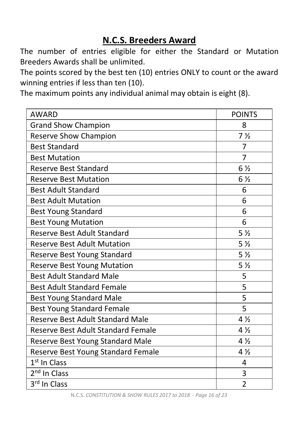# **N.C.S. Breeders Award**

The number of entries eligible for either the Standard or Mutation Breeders Awards shall be unlimited.

The points scored by the best ten (10) entries ONLY to count or the award winning entries if less than ten (10).

The maximum points any individual animal may obtain is eight (8).

| <b>AWARD</b>                            | <b>POINTS</b>  |
|-----------------------------------------|----------------|
| <b>Grand Show Champion</b>              | 8              |
| <b>Reserve Show Champion</b>            | 7 <sub>2</sub> |
| <b>Best Standard</b>                    | 7              |
| <b>Best Mutation</b>                    | 7              |
| <b>Reserve Best Standard</b>            | $6\frac{1}{2}$ |
| <b>Reserve Best Mutation</b>            | $6\frac{1}{2}$ |
| <b>Best Adult Standard</b>              | 6              |
| <b>Best Adult Mutation</b>              | 6              |
| <b>Best Young Standard</b>              | 6              |
| <b>Best Young Mutation</b>              | 6              |
| Reserve Best Adult Standard             | 5 <sub>2</sub> |
| <b>Reserve Best Adult Mutation</b>      | 5 <sub>2</sub> |
| Reserve Best Young Standard             | 5 <sub>2</sub> |
| <b>Reserve Best Young Mutation</b>      | 5 <sub>2</sub> |
| <b>Best Adult Standard Male</b>         | 5              |
| <b>Best Adult Standard Female</b>       | 5              |
| <b>Best Young Standard Male</b>         | 5              |
| <b>Best Young Standard Female</b>       | 5              |
| <b>Reserve Best Adult Standard Male</b> | $4\frac{1}{2}$ |
| Reserve Best Adult Standard Female      | $4\frac{1}{2}$ |
| Reserve Best Young Standard Male        | $4\frac{1}{2}$ |
| Reserve Best Young Standard Female      | $4\frac{1}{2}$ |
| 1 <sup>st</sup> In Class                | 4              |
| 2 <sup>nd</sup> In Class                | 3              |
| 3rd In Class                            | $\overline{2}$ |

N.C.S. *CONSTITUTION & SHOW RULES 2017 to 2018 - Page 16 of 23*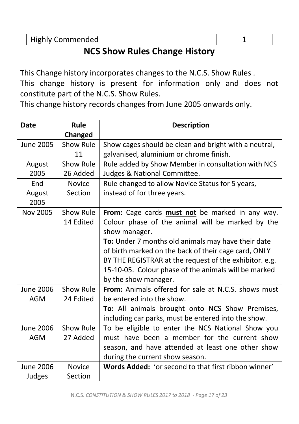Highly Commended 1 1

# **NCS Show Rules Change History**

This Change history incorporates changes to the N.C.S. Show Rules . This change history is present for information only and does not constitute part of the N.C.S. Show Rules.

This change history records changes from June 2005 onwards only.

| <b>Date</b>     | Rule          | <b>Description</b>                                          |
|-----------------|---------------|-------------------------------------------------------------|
|                 | Changed       |                                                             |
| June 2005       | Show Rule     | Show cages should be clean and bright with a neutral,       |
|                 | 11            | galvanised, aluminium or chrome finish.                     |
| August          | Show Rule     | Rule added by Show Member in consultation with NCS          |
| 2005            | 26 Added      | Judges & National Committee.                                |
| End             | <b>Novice</b> | Rule changed to allow Novice Status for 5 years,            |
| August          | Section       | instead of for three years.                                 |
| 2005            |               |                                                             |
| <b>Nov 2005</b> | Show Rule     | From: Cage cards must not be marked in any way.             |
|                 | 14 Edited     | Colour phase of the animal will be marked by the            |
|                 |               | show manager.                                               |
|                 |               | To: Under 7 months old animals may have their date          |
|                 |               | of birth marked on the back of their cage card, ONLY        |
|                 |               | BY THE REGISTRAR at the request of the exhibitor. e.g.      |
|                 |               | 15-10-05. Colour phase of the animals will be marked        |
|                 |               | by the show manager.                                        |
| June 2006       | Show Rule     | From: Animals offered for sale at N.C.S. shows must         |
| <b>AGM</b>      | 24 Edited     | be entered into the show.                                   |
|                 |               | To: All animals brought onto NCS Show Premises,             |
|                 |               | including car parks, must be entered into the show.         |
| June 2006       | Show Rule     | To be eligible to enter the NCS National Show you           |
| <b>AGM</b>      | 27 Added      | must have been a member for the current show                |
|                 |               | season, and have attended at least one other show           |
|                 |               | during the current show season.                             |
| June 2006       | <b>Novice</b> | <b>Words Added: 'or second to that first ribbon winner'</b> |
| Judges          | Section       |                                                             |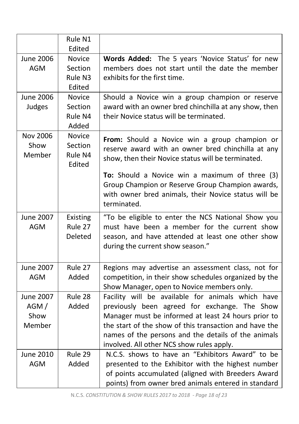|                                            | Rule N1                                       |                                                                                                                                                                                                                                                                                                                         |
|--------------------------------------------|-----------------------------------------------|-------------------------------------------------------------------------------------------------------------------------------------------------------------------------------------------------------------------------------------------------------------------------------------------------------------------------|
| <b>June 2006</b>                           | Edited<br><b>Novice</b>                       | Words Added: The 5 years 'Novice Status' for new                                                                                                                                                                                                                                                                        |
| <b>AGM</b>                                 | Section<br>Rule N3<br>Edited                  | members does not start until the date the member<br>exhibits for the first time.                                                                                                                                                                                                                                        |
| <b>June 2006</b><br>Judges                 | <b>Novice</b><br>Section<br>Rule N4<br>Added  | Should a Novice win a group champion or reserve<br>award with an owner bred chinchilla at any show, then<br>their Novice status will be terminated.                                                                                                                                                                     |
| <b>Nov 2006</b><br>Show<br>Member          | <b>Novice</b><br>Section<br>Rule N4<br>Edited | From: Should a Novice win a group champion or<br>reserve award with an owner bred chinchilla at any<br>show, then their Novice status will be terminated.                                                                                                                                                               |
|                                            |                                               | To: Should a Novice win a maximum of three (3)<br>Group Champion or Reserve Group Champion awards,<br>with owner bred animals, their Novice status will be<br>terminated.                                                                                                                                               |
| <b>June 2007</b><br><b>AGM</b>             | Existing<br>Rule 27<br>Deleted                | "To be eligible to enter the NCS National Show you<br>must have been a member for the current show<br>season, and have attended at least one other show<br>during the current show season."                                                                                                                             |
| <b>June 2007</b><br><b>AGM</b>             | Rule 27<br>Added                              | Regions may advertise an assessment class, not for<br>competition, in their show schedules organized by the<br>Show Manager, open to Novice members only.                                                                                                                                                               |
| <b>June 2007</b><br>AGM/<br>Show<br>Member | Rule 28<br>Added                              | Facility will be available for animals which have<br>previously been agreed for exchange. The Show<br>Manager must be informed at least 24 hours prior to<br>the start of the show of this transaction and have the<br>names of the persons and the details of the animals<br>involved. All other NCS show rules apply. |
| <b>June 2010</b><br><b>AGM</b>             | Rule 29<br>Added                              | N.C.S. shows to have an "Exhibitors Award" to be<br>presented to the Exhibitor with the highest number<br>of points accumulated (aligned with Breeders Award<br>points) from owner bred animals entered in standard                                                                                                     |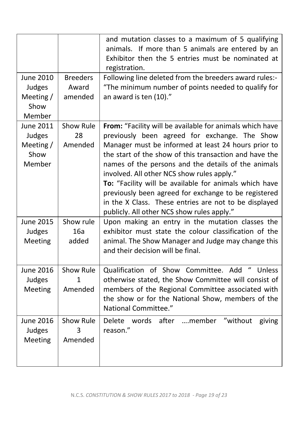|                                                             |                                     | and mutation classes to a maximum of 5 qualifying<br>animals. If more than 5 animals are entered by an<br>Exhibitor then the 5 entries must be nominated at<br>registration.                                                                                                                                                                                                                                                                                                                                                                             |
|-------------------------------------------------------------|-------------------------------------|----------------------------------------------------------------------------------------------------------------------------------------------------------------------------------------------------------------------------------------------------------------------------------------------------------------------------------------------------------------------------------------------------------------------------------------------------------------------------------------------------------------------------------------------------------|
| <b>June 2010</b><br>Judges<br>Meeting /<br>Show<br>Member   | <b>Breeders</b><br>Award<br>amended | Following line deleted from the breeders award rules:-<br>"The minimum number of points needed to qualify for<br>an award is ten (10)."                                                                                                                                                                                                                                                                                                                                                                                                                  |
| <b>June 2011</b><br>Judges<br>Meeting $/$<br>Show<br>Member | Show Rule<br>28<br>Amended          | From: "Facility will be available for animals which have<br>previously been agreed for exchange. The Show<br>Manager must be informed at least 24 hours prior to<br>the start of the show of this transaction and have the<br>names of the persons and the details of the animals<br>involved. All other NCS show rules apply."<br>To: "Facility will be available for animals which have<br>previously been agreed for exchange to be registered<br>in the X Class. These entries are not to be displayed<br>publicly. All other NCS show rules apply." |
| <b>June 2015</b><br>Judges<br>Meeting                       | Show rule<br>16a<br>added           | Upon making an entry in the mutation classes the<br>exhibitor must state the colour classification of the<br>animal. The Show Manager and Judge may change this<br>and their decision will be final.                                                                                                                                                                                                                                                                                                                                                     |
| <b>June 2016</b><br>Judges<br>Meeting                       | Show Rule<br>1<br>Amended           | Qualification of Show Committee. Add "<br>Unless<br>otherwise stated, the Show Committee will consist of<br>members of the Regional Committee associated with<br>the show or for the National Show, members of the<br>National Committee."                                                                                                                                                                                                                                                                                                               |
| <b>June 2016</b><br>Judges<br>Meeting                       | Show Rule<br>3<br>Amended           | after<br>"without<br>….member<br>Delete<br>words<br>giving<br>reason."                                                                                                                                                                                                                                                                                                                                                                                                                                                                                   |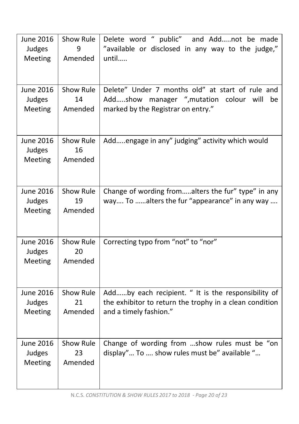| <b>June 2016</b><br>Judges<br>Meeting | Show Rule<br>9<br>Amended  | Delete word " public" and Addnot be made<br>"available or disclosed in any way to the judge,"<br>until                                     |
|---------------------------------------|----------------------------|--------------------------------------------------------------------------------------------------------------------------------------------|
| <b>June 2016</b><br>Judges<br>Meeting | Show Rule<br>14<br>Amended | Delete" Under 7 months old" at start of rule and<br>Addshow manager ", mutation<br>colour will<br>be<br>marked by the Registrar on entry." |
| <b>June 2016</b><br>Judges<br>Meeting | Show Rule<br>16<br>Amended | Addengage in any" judging" activity which would                                                                                            |
| <b>June 2016</b><br>Judges<br>Meeting | Show Rule<br>19<br>Amended | Change of wording fromalters the fur" type" in any<br>way To alters the fur "appearance" in any way                                        |
| <b>June 2016</b><br>Judges<br>Meeting | Show Rule<br>20<br>Amended | Correcting typo from "not" to "nor"                                                                                                        |
| <b>June 2016</b><br>Judges<br>Meeting | Show Rule<br>21<br>Amended | Addby each recipient. " It is the responsibility of<br>the exhibitor to return the trophy in a clean condition<br>and a timely fashion."   |
| <b>June 2016</b><br>Judges<br>Meeting | Show Rule<br>23<br>Amended | Change of wording from show rules must be "on<br>display" To  show rules must be" available "                                              |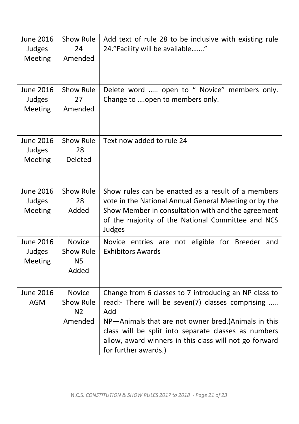| <b>June 2016</b><br>Judges<br>Meeting | Show Rule<br>24<br>Amended                              | Add text of rule 28 to be inclusive with existing rule<br>24."Facility will be available"                                                                                                                                                                                                                         |
|---------------------------------------|---------------------------------------------------------|-------------------------------------------------------------------------------------------------------------------------------------------------------------------------------------------------------------------------------------------------------------------------------------------------------------------|
| June 2016<br>Judges<br>Meeting        | Show Rule<br>27<br>Amended                              | Delete word  open to " Novice" members only.<br>Change to open to members only.                                                                                                                                                                                                                                   |
| <b>June 2016</b><br>Judges<br>Meeting | Show Rule<br>28<br>Deleted                              | Text now added to rule 24                                                                                                                                                                                                                                                                                         |
| <b>June 2016</b><br>Judges<br>Meeting | Show Rule<br>28<br>Added                                | Show rules can be enacted as a result of a members<br>vote in the National Annual General Meeting or by the<br>Show Member in consultation with and the agreement<br>of the majority of the National Committee and NCS<br>Judges                                                                                  |
| <b>June 2016</b><br>Judges<br>Meeting | <b>Novice</b><br>Show Rule<br><b>N5</b><br>Added        | Novice entries are not eligible for Breeder and<br><b>Exhibitors Awards</b>                                                                                                                                                                                                                                       |
| <b>June 2016</b><br><b>AGM</b>        | <b>Novice</b><br>Show Rule<br>N <sub>2</sub><br>Amended | Change from 6 classes to 7 introducing an NP class to<br>read:- There will be seven(7) classes comprising<br>Add<br>NP-Animals that are not owner bred.(Animals in this<br>class will be split into separate classes as numbers<br>allow, award winners in this class will not go forward<br>for further awards.) |